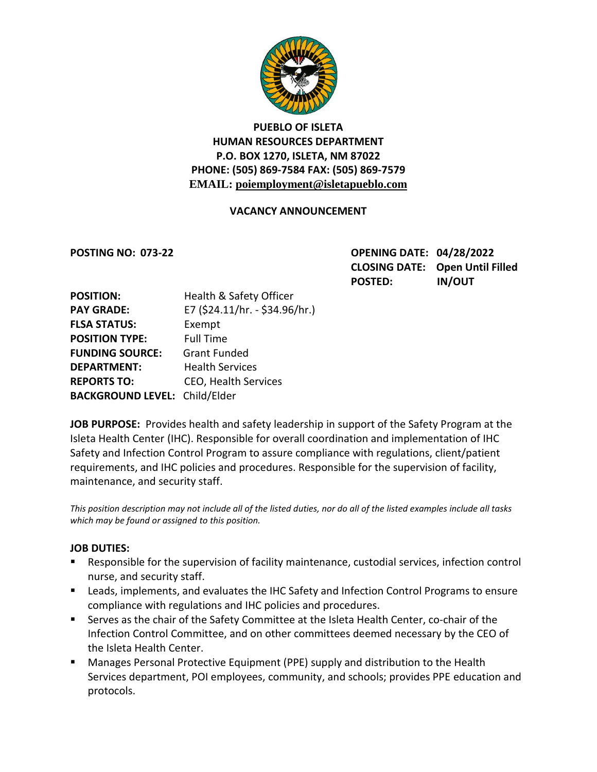

# **PUEBLO OF ISLETA HUMAN RESOURCES DEPARTMENT P.O. BOX 1270, ISLETA, NM 87022 PHONE: (505) 869-7584 FAX: (505) 869-7579 EMAIL: poiemployment@isletapueblo.com**

#### **VACANCY ANNOUNCEMENT**

**POSTING NO: 073-22 OPENING DATE: 04/28/2022 CLOSING DATE: Open Until Filled POSTED: IN/OUT**

| <b>POSITION:</b>                     | Health & Safety Officer        |
|--------------------------------------|--------------------------------|
| <b>PAY GRADE:</b>                    | E7 (\$24.11/hr. - \$34.96/hr.) |
| <b>FLSA STATUS:</b>                  | Exempt                         |
| <b>POSITION TYPE:</b>                | <b>Full Time</b>               |
| <b>FUNDING SOURCE:</b>               | <b>Grant Funded</b>            |
| <b>DEPARTMENT:</b>                   | <b>Health Services</b>         |
| <b>REPORTS TO:</b>                   | <b>CEO, Health Services</b>    |
| <b>BACKGROUND LEVEL: Child/Elder</b> |                                |

**JOB PURPOSE:** Provides health and safety leadership in support of the Safety Program at the Isleta Health Center (IHC). Responsible for overall coordination and implementation of IHC Safety and Infection Control Program to assure compliance with regulations, client/patient requirements, and IHC policies and procedures. Responsible for the supervision of facility, maintenance, and security staff.

*This position description may not include all of the listed duties, nor do all of the listed examples include all tasks which may be found or assigned to this position.*

#### **JOB DUTIES:**

- Responsible for the supervision of facility maintenance, custodial services, infection control nurse, and security staff.
- Leads, implements, and evaluates the IHC Safety and Infection Control Programs to ensure compliance with regulations and IHC policies and procedures.
- Serves as the chair of the Safety Committee at the Isleta Health Center, co-chair of the Infection Control Committee, and on other committees deemed necessary by the CEO of the Isleta Health Center.
- Manages Personal Protective Equipment (PPE) supply and distribution to the Health Services department, POI employees, community, and schools; provides PPE education and protocols.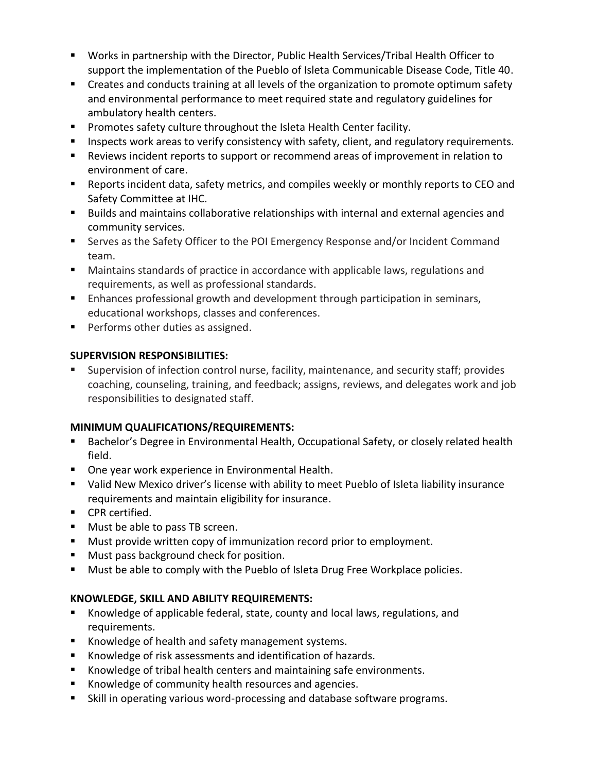- Works in partnership with the Director, Public Health Services/Tribal Health Officer to support the implementation of the Pueblo of Isleta Communicable Disease Code, Title 40.
- Creates and conducts training at all levels of the organization to promote optimum safety and environmental performance to meet required state and regulatory guidelines for ambulatory health centers.
- **Promotes safety culture throughout the Isleta Health Center facility.**
- **Inspects work areas to verify consistency with safety, client, and regulatory requirements.**
- Reviews incident reports to support or recommend areas of improvement in relation to environment of care.
- Reports incident data, safety metrics, and compiles weekly or monthly reports to CEO and Safety Committee at IHC.
- **Builds and maintains collaborative relationships with internal and external agencies and** community services.
- Serves as the Safety Officer to the POI Emergency Response and/or Incident Command team.
- Maintains standards of practice in accordance with applicable laws, regulations and requirements, as well as professional standards.
- **Enhances professional growth and development through participation in seminars,** educational workshops, classes and conferences.
- **Performs other duties as assigned.**

# **SUPERVISION RESPONSIBILITIES:**

 Supervision of infection control nurse, facility, maintenance, and security staff; provides coaching, counseling, training, and feedback; assigns, reviews, and delegates work and job responsibilities to designated staff.

### **MINIMUM QUALIFICATIONS/REQUIREMENTS:**

- Bachelor's Degree in Environmental Health, Occupational Safety, or closely related health field.
- One year work experience in Environmental Health.
- Valid New Mexico driver's license with ability to meet Pueblo of Isleta liability insurance requirements and maintain eligibility for insurance.
- **CPR** certified.
- **Must be able to pass TB screen.**
- **Must provide written copy of immunization record prior to employment.**
- **Must pass background check for position.**
- Must be able to comply with the Pueblo of Isleta Drug Free Workplace policies.

# **KNOWLEDGE, SKILL AND ABILITY REQUIREMENTS:**

- Knowledge of applicable federal, state, county and local laws, regulations, and requirements.
- Knowledge of health and safety management systems.
- Knowledge of risk assessments and identification of hazards.
- Knowledge of tribal health centers and maintaining safe environments.
- **K** Knowledge of community health resources and agencies.
- Skill in operating various word-processing and database software programs.